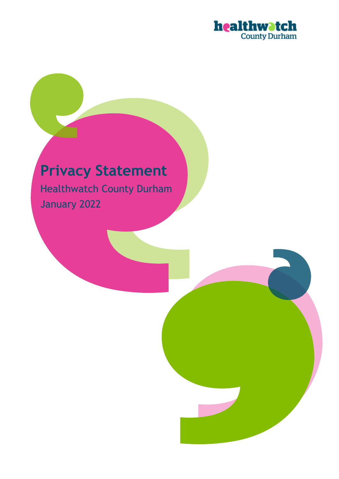

# **Privacy Statement**

Healthwatch County Durham January 2022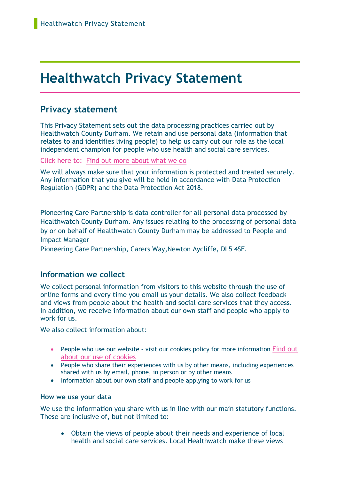# **Healthwatch Privacy Statement**

# **Privacy statement**

This Privacy Statement sets out the data processing practices carried out by Healthwatch County Durham. We retain and use personal data (information that relates to and identifies living people) to help us carry out our role as the local independent champion for people who use health and social care services.

Click here to: [Find out more about what we do](https://www.healthwatchcountydurham.co.uk/what-we-do)

We will always make sure that your information is protected and treated securely. Any information that you give will be held in accordance with Data Protection Regulation (GDPR) and the Data Protection Act 2018.

Pioneering Care Partnership is data controller for all personal data processed by Healthwatch County Durham. Any issues relating to the processing of personal data by or on behalf of Healthwatch County Durham may be addressed to People and Impact Manager

Pioneering Care Partnership, Carers Way,Newton Aycliffe, DL5 4SF.

# **Information we collect**

We collect personal information from visitors to this website through the use of online forms and every time you email us your details. We also collect feedback and views from people about the health and social care services that they access. In addition, we receive information about our own staff and people who apply to work for us.

We also collect information about:

- People who use our website visit our cookies policy for more information Find out [about our use of cookies](https://www.healthwatchcountydurham.co.uk/cookies)
- People who share their experiences with us by other means, including experiences shared with us by email, phone, in person or by other means
- Information about our own staff and people applying to work for us

#### **How we use your data**

We use the information you share with us in line with our main statutory functions. These are inclusive of, but not limited to:

• Obtain the views of people about their needs and experience of local health and social care services. Local Healthwatch make these views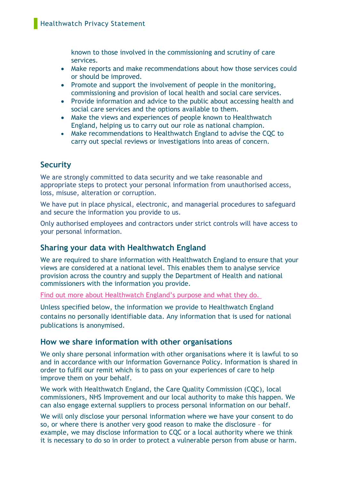known to those involved in the commissioning and scrutiny of care services.

- Make reports and make recommendations about how those services could or should be improved.
- Promote and support the involvement of people in the monitoring, commissioning and provision of local health and social care services.
- Provide information and advice to the public about accessing health and social care services and the options available to them.
- Make the views and experiences of people known to Healthwatch England, helping us to carry out our role as national champion.
- Make recommendations to Healthwatch England to advise the CQC to carry out special reviews or investigations into areas of concern.

# **Security**

We are strongly committed to data security and we take reasonable and appropriate steps to protect your personal information from unauthorised access, loss, misuse, alteration or corruption.

We have put in place physical, electronic, and managerial procedures to safeguard and secure the information you provide to us.

Only authorised employees and contractors under strict controls will have access to your personal information.

# **Sharing your data with Healthwatch England**

We are required to share information with Healthwatch England to ensure that your views are considered at a national level. This enables them to analyse service provision across the country and supply the Department of Health and national commissioners with the information you provide.

Find out more about Healthwa[tch England's purpose and what they do.](https://www.healthwatch.co.uk/about-us)

Unless specified below, the information we provide to Healthwatch England contains no personally identifiable data. Any information that is used for national publications is anonymised.

# **How we share information with other organisations**

We only share personal information with other organisations where it is lawful to so and in accordance with our Information Governance Policy. Information is shared in order to fulfil our remit which is to pass on your experiences of care to help improve them on your behalf.

We work with Healthwatch England, the Care Quality Commission (COC), local commissioners, NHS Improvement and our local authority to make this happen. We can also engage external suppliers to process personal information on our behalf.

We will only disclose your personal information where we have your consent to do so, or where there is another very good reason to make the disclosure – for example, we may disclose information to CQC or a local authority where we think it is necessary to do so in order to protect a vulnerable person from abuse or harm.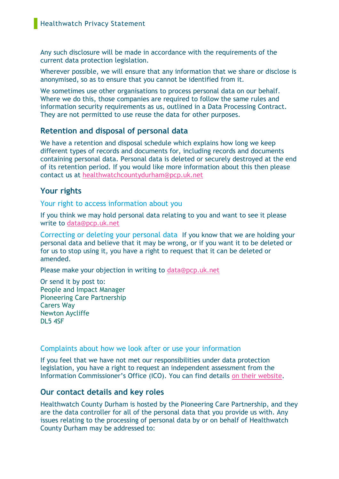Any such disclosure will be made in accordance with the requirements of the current data protection legislation.

Wherever possible, we will ensure that any information that we share or disclose is anonymised, so as to ensure that you cannot be identified from it.

We sometimes use other organisations to process personal data on our behalf. Where we do this, those companies are required to follow the same rules and information security requirements as us, outlined in a Data Processing Contract. They are not permitted to use reuse the data for other purposes.

### **Retention and disposal of personal data**

We have a retention and disposal schedule which explains how long we keep different types of records and documents for, including records and documents containing personal data. Personal data is deleted or securely destroyed at the end of its retention period. If you would like more information about this then please contact us at<healthwatchcountydurham@pcp.uk.net>

# **Your rights**

Your right to access information about you

If you think we may hold personal data relating to you and want to see it please write to [data@pcp.uk.net](mailto:data@pcp.uk.net)

Correcting or deleting your personal data If you know that we are holding your personal data and believe that it may be wrong, or if you want it to be deleted or for us to stop using it, you have a right to request that it can be deleted or amended.

Please make your objection in writing to [data@pcp.uk.net](mailto:data@pcp.uk.net)

Or send it by post to: People and Impact Manager Pioneering Care Partnership Carers Way Newton Aycliffe DL5 4SF

#### Complaints about how we look after or use your information

If you feel that we have not met our responsibilities under data protection legislation, you have a right to request an independent assessment from the Information Commissioner's Office (ICO). You can find details [on their website.](http://www.ico.org.uk/)

#### **Our contact details and key roles**

Healthwatch County Durham is hosted by the Pioneering Care Partnership, and they are the data controller for all of the personal data that you provide us with. Any issues relating to the processing of personal data by or on behalf of Healthwatch County Durham may be addressed to: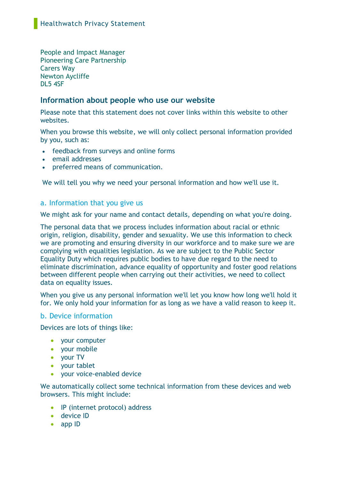People and Impact Manager Pioneering Care Partnership Carers Way Newton Aycliffe DL5 4SF

# **Information about people who use our website**

Please note that this statement does not cover links within this website to other websites.

When you browse this website, we will only collect personal information provided by you, such as:

- feedback from surveys and online forms
- email addresses
- preferred means of communication.

We will tell you why we need your personal information and how we'll use it.

#### a. Information that you give us

We might ask for your name and contact details, depending on what you're doing.

The personal data that we process includes information about racial or ethnic origin, religion, disability, gender and sexuality. We use this information to check we are promoting and ensuring diversity in our workforce and to make sure we are complying with equalities legislation. As we are subject to the Public Sector Equality Duty which requires public bodies to have due regard to the need to eliminate discrimination, advance equality of opportunity and foster good relations between different people when carrying out their activities, we need to collect data on equality issues.

When you give us any personal information we'll let you know how long we'll hold it for. We only hold your information for as long as we have a valid reason to keep it.

#### b. Device information

Devices are lots of things like:

- your computer
- your mobile
- your TV
- your tablet
- your voice-enabled device

We automatically collect some technical information from these devices and web browsers. This might include:

- IP (internet protocol) address
- device ID
- app ID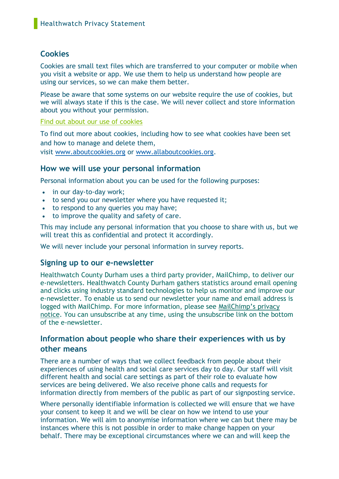# **Cookies**

Cookies are small text files which are transferred to your computer or mobile when you visit a website or app. We use them to help us understand how people are using our services, so we can make them better.

Please be aware that some systems on our website require the use of cookies, but we will always state if this is the case. We will never collect and store information about you without your permission.

#### [Find out about our use of cookies](https://www.healthwatchcountydurham.co.uk/cookies)

To find out more about cookies, including how to see what cookies have been set and how to manage and delete them, visit [www.aboutcookies.org](http://www.aboutcookies.org/) or [www.allaboutcookies.org.](http://www.allaboutcookies.org/)

# **How we will use your personal information**

Personal information about you can be used for the following purposes:

- in our day-to-day work;
- to send you our newsletter where you have requested it;
- to respond to any queries you may have;
- to improve the quality and safety of care.

This may include any personal information that you choose to share with us, but we will treat this as confidential and protect it accordingly.

We will never include your personal information in survey reports.

# **Signing up to our e-newsletter**

Healthwatch County Durham uses a third party provider, MailChimp, to deliver our e-newsletters. Healthwatch County Durham gathers statistics around email opening and clicks using industry standard technologies to help us monitor and improve our e-newsletter. To enable us to send our newsletter your name and email address is logged with MailChimp. For more information, please see [MailChimp's privacy](https://mailchimp.com/legal/privacy/?_ga=2.24018814.553025910.1511778064-1791575818.1511778064&_gac=1.249833138.1511778064.EAIaIQobChMIk8-YrcXe1wIVhpPtCh1qpArJEAAYASAAEgKHJvD_BwE)  [notice.](https://mailchimp.com/legal/privacy/?_ga=2.24018814.553025910.1511778064-1791575818.1511778064&_gac=1.249833138.1511778064.EAIaIQobChMIk8-YrcXe1wIVhpPtCh1qpArJEAAYASAAEgKHJvD_BwE) You can unsubscribe at any time, using the unsubscribe link on the bottom of the e-newsletter.

# **Information about people who share their experiences with us by other means**

There are a number of ways that we collect feedback from people about their experiences of using health and social care services day to day. Our staff will visit different health and social care settings as part of their role to evaluate how services are being delivered. We also receive phone calls and requests for information directly from members of the public as part of our signposting service.

Where personally identifiable information is collected we will ensure that we have your consent to keep it and we will be clear on how we intend to use your information. We will aim to anonymise information where we can but there may be instances where this is not possible in order to make change happen on your behalf. There may be exceptional circumstances where we can and will keep the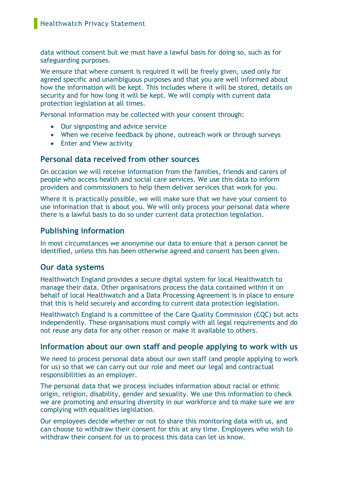data without consent but we must have a lawful basis for doing so, such as for safeguarding purposes.

We ensure that where consent is required it will be freely given, used only for agreed specific and unambiguous purposes and that you are well informed about how the information will be kept. This includes where it will be stored, details on security and for how long it will be kept. We will comply with current data protection legislation at all times.

Personal information may be collected with your consent through:

- Our signposting and advice service
- When we receive feedback by phone, outreach work or through surveys
- Enter and View activity

# **Personal data received from other sources**

On occasion we will receive information from the families, friends and carers of people who access health and social care services. We use this data to inform providers and commissioners to help them deliver services that work for you.

Where it is practically possible, we will make sure that we have your consent to use information that is about you. We will only process your personal data where there is a lawful basis to do so under current data protection legislation.

# **Publishing information**

In most circumstances we anonymise our data to ensure that a person cannot be identified, unless this has been otherwise agreed and consent has been given.

# **Our data systems**

Healthwatch England provides a secure digital system for local Healthwatch to manage their data. Other organisations process the data contained within it on behalf of local Healthwatch and a Data Processing Agreement is in place to ensure that this is held securely and according to current data protection legislation.

Healthwatch England is a committee of the Care Quality Commission (CQC) but acts independently. These organisations must comply with all legal requirements and do not reuse any data for any other reason or make it available to others.

# **Information about our own staff and people applying to work with us**

We need to process personal data about our own staff (and people applying to work for us) so that we can carry out our role and meet our legal and contractual responsibilities as an employer.

The personal data that we process includes information about racial or ethnic origin, religion, disability, gender and sexuality. We use this information to check we are promoting and ensuring diversity in our workforce and to make sure we are complying with equalities legislation.

Our employees decide whether or not to share this monitoring data with us, and can choose to withdraw their consent for this at any time. Employees who wish to withdraw their consent for us to process this data can let us know.